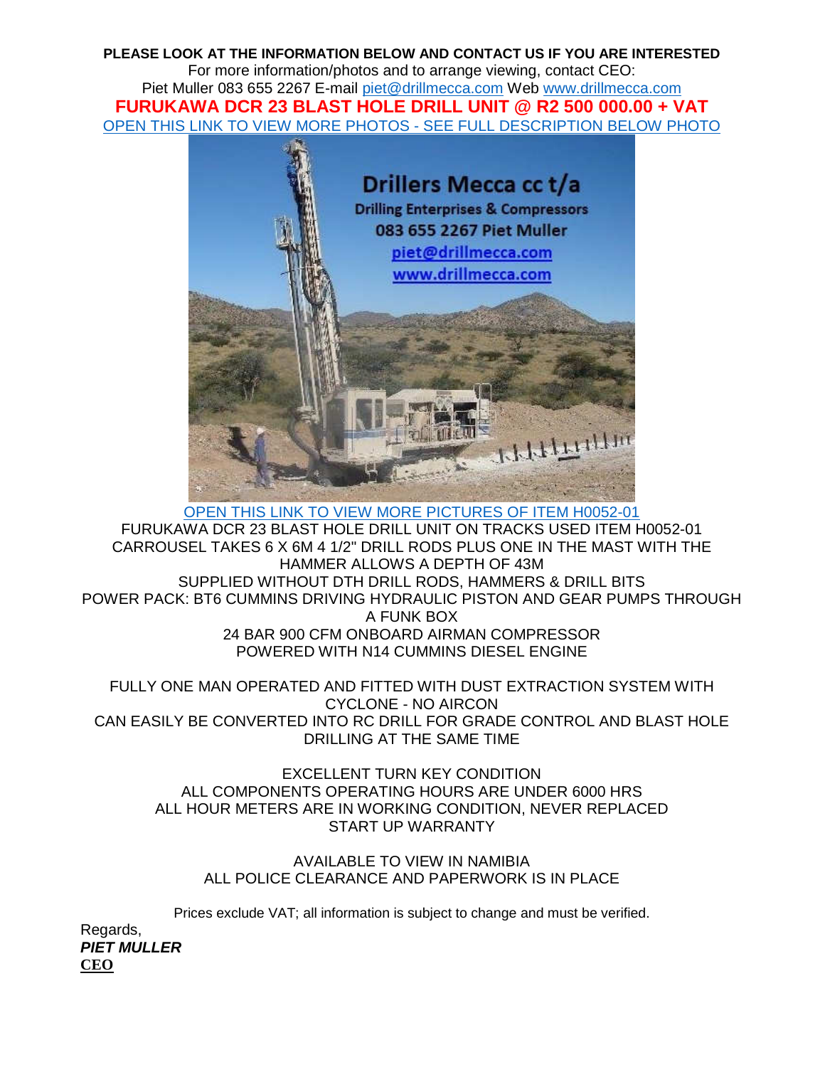**PLEASE LOOK AT THE INFORMATION BELOW AND CONTACT US IF YOU ARE INTERESTED**  For more information/photos and to arrange viewing, contact CEO: Piet Muller 083 655 2267 E-mail piet@drillmecca.com Web www.drillmecca.com **FURUKAWA DCR 23 BLAST HOLE DRILL UNIT @ R2 500 000.00 + VAT** OPEN THIS LINK TO VIEW MORE PHOTOS - SEE FULL DESCRIPTION BELOW PHOTO



OPEN THIS LINK TO VIEW MORE PICTURES OF ITEM H0052-01 FURUKAWA DCR 23 BLAST HOLE DRILL UNIT ON TRACKS USED ITEM H0052-01 CARROUSEL TAKES 6 X 6M 4 1/2" DRILL RODS PLUS ONE IN THE MAST WITH THE HAMMER ALLOWS A DEPTH OF 43M SUPPLIED WITHOUT DTH DRILL RODS, HAMMERS & DRILL BITS POWER PACK: BT6 CUMMINS DRIVING HYDRAULIC PISTON AND GEAR PUMPS THROUGH A FUNK BOX 24 BAR 900 CFM ONBOARD AIRMAN COMPRESSOR POWERED WITH N14 CUMMINS DIESEL ENGINE

FULLY ONE MAN OPERATED AND FITTED WITH DUST EXTRACTION SYSTEM WITH CYCLONE - NO AIRCON CAN EASILY BE CONVERTED INTO RC DRILL FOR GRADE CONTROL AND BLAST HOLE DRILLING AT THE SAME TIME

EXCELLENT TURN KEY CONDITION ALL COMPONENTS OPERATING HOURS ARE UNDER 6000 HRS ALL HOUR METERS ARE IN WORKING CONDITION, NEVER REPLACED START UP WARRANTY

AVAILABLE TO VIEW IN NAMIBIA ALL POLICE CLEARANCE AND PAPERWORK IS IN PLACE

Prices exclude VAT; all information is subject to change and must be verified.

Regards, **PIET MULLER CEO**